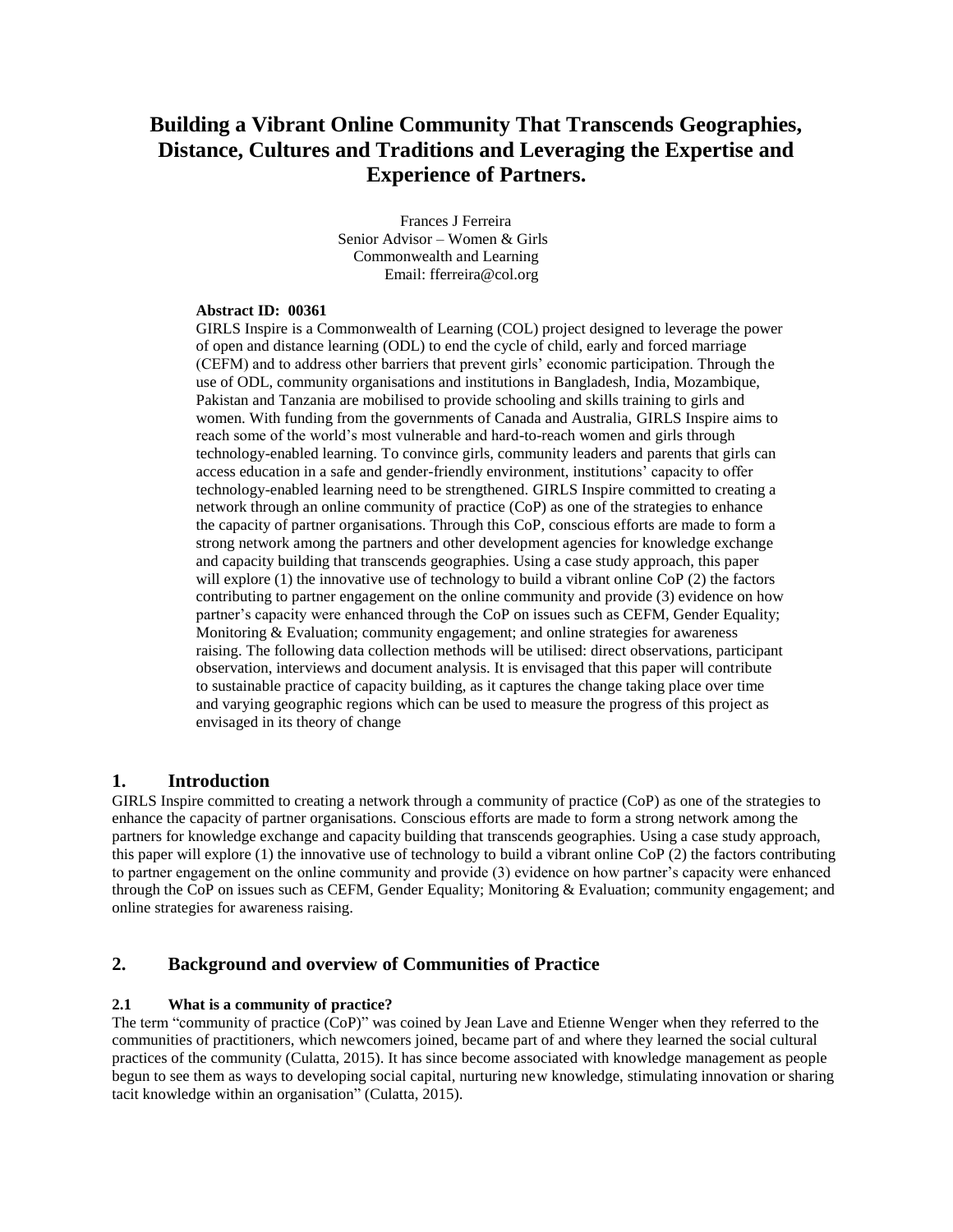# **Building a Vibrant Online Community That Transcends Geographies, Distance, Cultures and Traditions and Leveraging the Expertise and Experience of Partners.**

 Frances J Ferreira Senior Advisor – Women & Girls Commonwealth and Learning Email: fferreira@col.org

## **Abstract ID: 00361**

GIRLS Inspire is a Commonwealth of Learning (COL) project designed to leverage the power of open and distance learning (ODL) to end the cycle of child, early and forced marriage (CEFM) and to address other barriers that prevent girls' economic participation. Through the use of ODL, community organisations and institutions in Bangladesh, India, Mozambique, Pakistan and Tanzania are mobilised to provide schooling and skills training to girls and women. With funding from the governments of Canada and Australia, GIRLS Inspire aims to reach some of the world's most vulnerable and hard-to-reach women and girls through technology-enabled learning. To convince girls, community leaders and parents that girls can access education in a safe and gender-friendly environment, institutions' capacity to offer technology-enabled learning need to be strengthened. GIRLS Inspire committed to creating a network through an online community of practice (CoP) as one of the strategies to enhance the capacity of partner organisations. Through this CoP, conscious efforts are made to form a strong network among the partners and other development agencies for knowledge exchange and capacity building that transcends geographies. Using a case study approach, this paper will explore (1) the innovative use of technology to build a vibrant online CoP (2) the factors contributing to partner engagement on the online community and provide (3) evidence on how partner's capacity were enhanced through the CoP on issues such as CEFM, Gender Equality; Monitoring & Evaluation; community engagement; and online strategies for awareness raising. The following data collection methods will be utilised: direct observations, participant observation, interviews and document analysis. It is envisaged that this paper will contribute to sustainable practice of capacity building, as it captures the change taking place over time and varying geographic regions which can be used to measure the progress of this project as envisaged in its theory of change

# **1. Introduction**

GIRLS Inspire committed to creating a network through a community of practice (CoP) as one of the strategies to enhance the capacity of partner organisations. Conscious efforts are made to form a strong network among the partners for knowledge exchange and capacity building that transcends geographies. Using a case study approach, this paper will explore (1) the innovative use of technology to build a vibrant online CoP (2) the factors contributing to partner engagement on the online community and provide (3) evidence on how partner's capacity were enhanced through the CoP on issues such as CEFM, Gender Equality; Monitoring & Evaluation; community engagement; and online strategies for awareness raising.

# **2. Background and overview of Communities of Practice**

### **2.1 What is a community of practice?**

The term "community of practice (CoP)" was coined by Jean Lave and Etienne Wenger when they referred to the communities of practitioners, which newcomers joined, became part of and where they learned the social cultural practices of the community (Culatta, 2015). It has since become associated with knowledge management as people begun to see them as ways to developing social capital, nurturing new knowledge, stimulating innovation or sharing tacit knowledge within an organisation" (Culatta, 2015).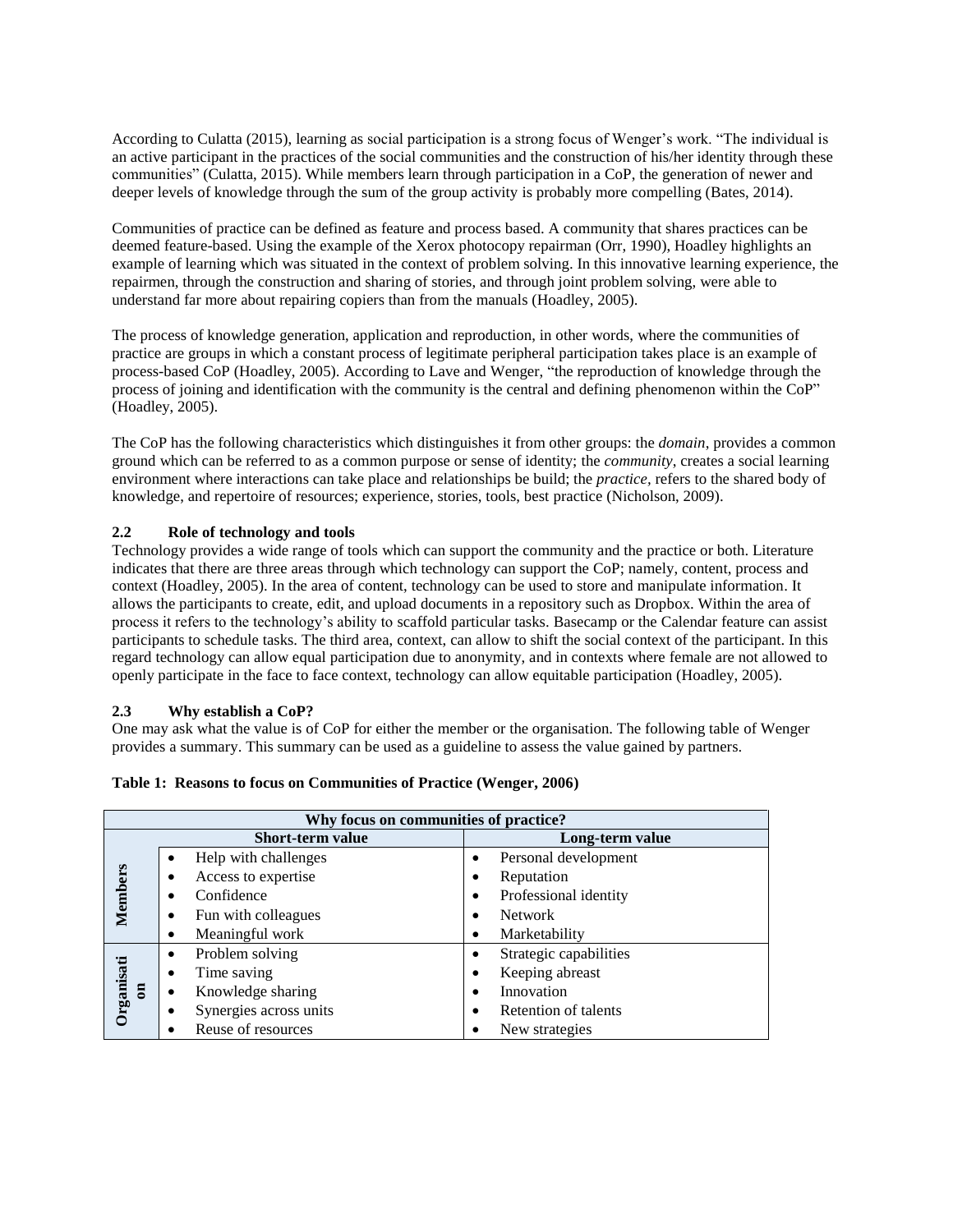According to Culatta (2015), learning as social participation is a strong focus of Wenger's work. "The individual is an active participant in the practices of the social communities and the construction of his/her identity through these communities" (Culatta, 2015). While members learn through participation in a CoP, the generation of newer and deeper levels of knowledge through the sum of the group activity is probably more compelling (Bates, 2014).

Communities of practice can be defined as feature and process based. A community that shares practices can be deemed feature-based. Using the example of the Xerox photocopy repairman (Orr, 1990), Hoadley highlights an example of learning which was situated in the context of problem solving. In this innovative learning experience, the repairmen, through the construction and sharing of stories, and through joint problem solving, were able to understand far more about repairing copiers than from the manuals (Hoadley, 2005).

The process of knowledge generation, application and reproduction, in other words, where the communities of practice are groups in which a constant process of legitimate peripheral participation takes place is an example of process-based CoP (Hoadley, 2005). According to Lave and Wenger, "the reproduction of knowledge through the process of joining and identification with the community is the central and defining phenomenon within the CoP" (Hoadley, 2005).

The CoP has the following characteristics which distinguishes it from other groups: the *domain*, provides a common ground which can be referred to as a common purpose or sense of identity; the *community*, creates a social learning environment where interactions can take place and relationships be build; the *practice,* refers to the shared body of knowledge, and repertoire of resources; experience, stories, tools, best practice (Nicholson, 2009).

### **2.2 Role of technology and tools**

Technology provides a wide range of tools which can support the community and the practice or both. Literature indicates that there are three areas through which technology can support the CoP; namely, content, process and context (Hoadley, 2005). In the area of content, technology can be used to store and manipulate information. It allows the participants to create, edit, and upload documents in a repository such as Dropbox. Within the area of process it refers to the technology's ability to scaffold particular tasks. Basecamp or the Calendar feature can assist participants to schedule tasks. The third area, context, can allow to shift the social context of the participant. In this regard technology can allow equal participation due to anonymity, and in contexts where female are not allowed to openly participate in the face to face context, technology can allow equitable participation (Hoadley, 2005).

### **2.3 Why establish a CoP?**

One may ask what the value is of CoP for either the member or the organisation. The following table of Wenger provides a summary. This summary can be used as a guideline to assess the value gained by partners.

| Why focus on communities of practice? |                                 |                                     |  |  |  |  |
|---------------------------------------|---------------------------------|-------------------------------------|--|--|--|--|
| <b>Short-term value</b>               |                                 | Long-term value                     |  |  |  |  |
| Members                               | Help with challenges            | Personal development<br>٠           |  |  |  |  |
|                                       | Access to expertise<br>٠        | Reputation<br>$\bullet$             |  |  |  |  |
|                                       | Confidence<br>$\bullet$         | Professional identity<br>$\bullet$  |  |  |  |  |
|                                       | Fun with colleagues<br>٠        | <b>Network</b><br>٠                 |  |  |  |  |
|                                       | Meaningful work                 | Marketability<br>$\bullet$          |  |  |  |  |
|                                       | Problem solving<br>$\bullet$    | Strategic capabilities<br>$\bullet$ |  |  |  |  |
|                                       | Time saving<br>$\bullet$        | Keeping abreast<br>$\bullet$        |  |  |  |  |
| Organisati<br>$5^{\circ}$             | Knowledge sharing               | Innovation<br>$\bullet$             |  |  |  |  |
|                                       | Synergies across units<br>٠     | Retention of talents<br>$\bullet$   |  |  |  |  |
|                                       | Reuse of resources<br>$\bullet$ | New strategies                      |  |  |  |  |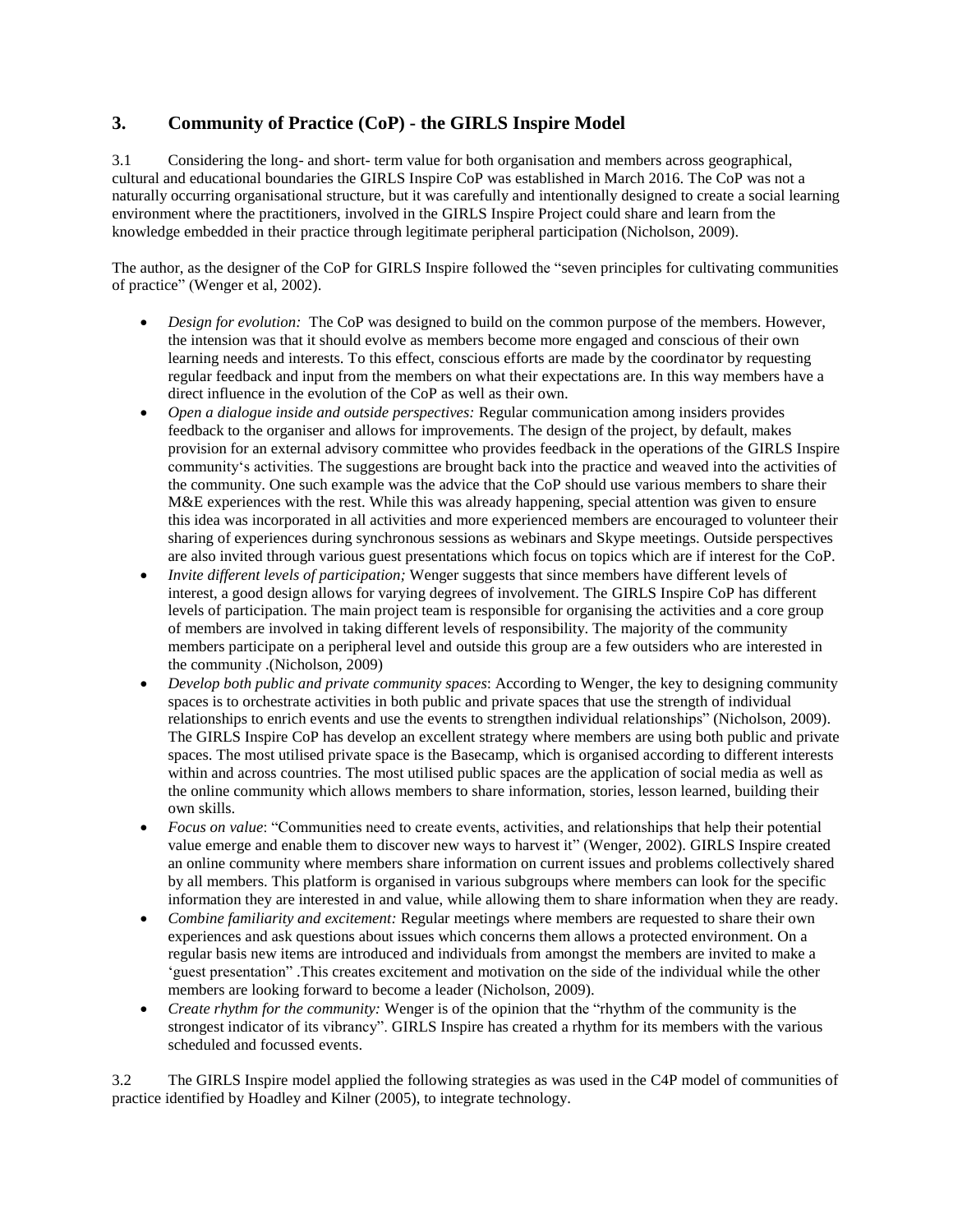# **3. Community of Practice (CoP) - the GIRLS Inspire Model**

3.1 Considering the long- and short- term value for both organisation and members across geographical, cultural and educational boundaries the GIRLS Inspire CoP was established in March 2016. The CoP was not a naturally occurring organisational structure, but it was carefully and intentionally designed to create a social learning environment where the practitioners, involved in the GIRLS Inspire Project could share and learn from the knowledge embedded in their practice through legitimate peripheral participation (Nicholson, 2009).

The author, as the designer of the CoP for GIRLS Inspire followed the "seven principles for cultivating communities of practice" (Wenger et al, 2002).

- *Design for evolution:* The CoP was designed to build on the common purpose of the members. However, the intension was that it should evolve as members become more engaged and conscious of their own learning needs and interests. To this effect, conscious efforts are made by the coordinator by requesting regular feedback and input from the members on what their expectations are. In this way members have a direct influence in the evolution of the CoP as well as their own.
- *Open a dialogue inside and outside perspectives:* Regular communication among insiders provides feedback to the organiser and allows for improvements. The design of the project, by default, makes provision for an external advisory committee who provides feedback in the operations of the GIRLS Inspire community's activities. The suggestions are brought back into the practice and weaved into the activities of the community. One such example was the advice that the CoP should use various members to share their M&E experiences with the rest. While this was already happening, special attention was given to ensure this idea was incorporated in all activities and more experienced members are encouraged to volunteer their sharing of experiences during synchronous sessions as webinars and Skype meetings. Outside perspectives are also invited through various guest presentations which focus on topics which are if interest for the CoP.
- *Invite different levels of participation;* Wenger suggests that since members have different levels of interest, a good design allows for varying degrees of involvement. The GIRLS Inspire CoP has different levels of participation. The main project team is responsible for organising the activities and a core group of members are involved in taking different levels of responsibility. The majority of the community members participate on a peripheral level and outside this group are a few outsiders who are interested in the community .(Nicholson, 2009)
- *Develop both public and private community spaces*: According to Wenger, the key to designing community spaces is to orchestrate activities in both public and private spaces that use the strength of individual relationships to enrich events and use the events to strengthen individual relationships" (Nicholson, 2009). The GIRLS Inspire CoP has develop an excellent strategy where members are using both public and private spaces. The most utilised private space is the Basecamp, which is organised according to different interests within and across countries. The most utilised public spaces are the application of social media as well as the online community which allows members to share information, stories, lesson learned, building their own skills.
- *Focus on value*: "Communities need to create events, activities, and relationships that help their potential value emerge and enable them to discover new ways to harvest it" (Wenger, 2002). GIRLS Inspire created an online community where members share information on current issues and problems collectively shared by all members. This platform is organised in various subgroups where members can look for the specific information they are interested in and value, while allowing them to share information when they are ready.
- *Combine familiarity and excitement:* Regular meetings where members are requested to share their own experiences and ask questions about issues which concerns them allows a protected environment. On a regular basis new items are introduced and individuals from amongst the members are invited to make a 'guest presentation" .This creates excitement and motivation on the side of the individual while the other members are looking forward to become a leader (Nicholson, 2009).
- *Create rhythm for the community:* Wenger is of the opinion that the "rhythm of the community is the strongest indicator of its vibrancy". GIRLS Inspire has created a rhythm for its members with the various scheduled and focussed events.

3.2 The GIRLS Inspire model applied the following strategies as was used in the C4P model of communities of practice identified by Hoadley and Kilner (2005), to integrate technology.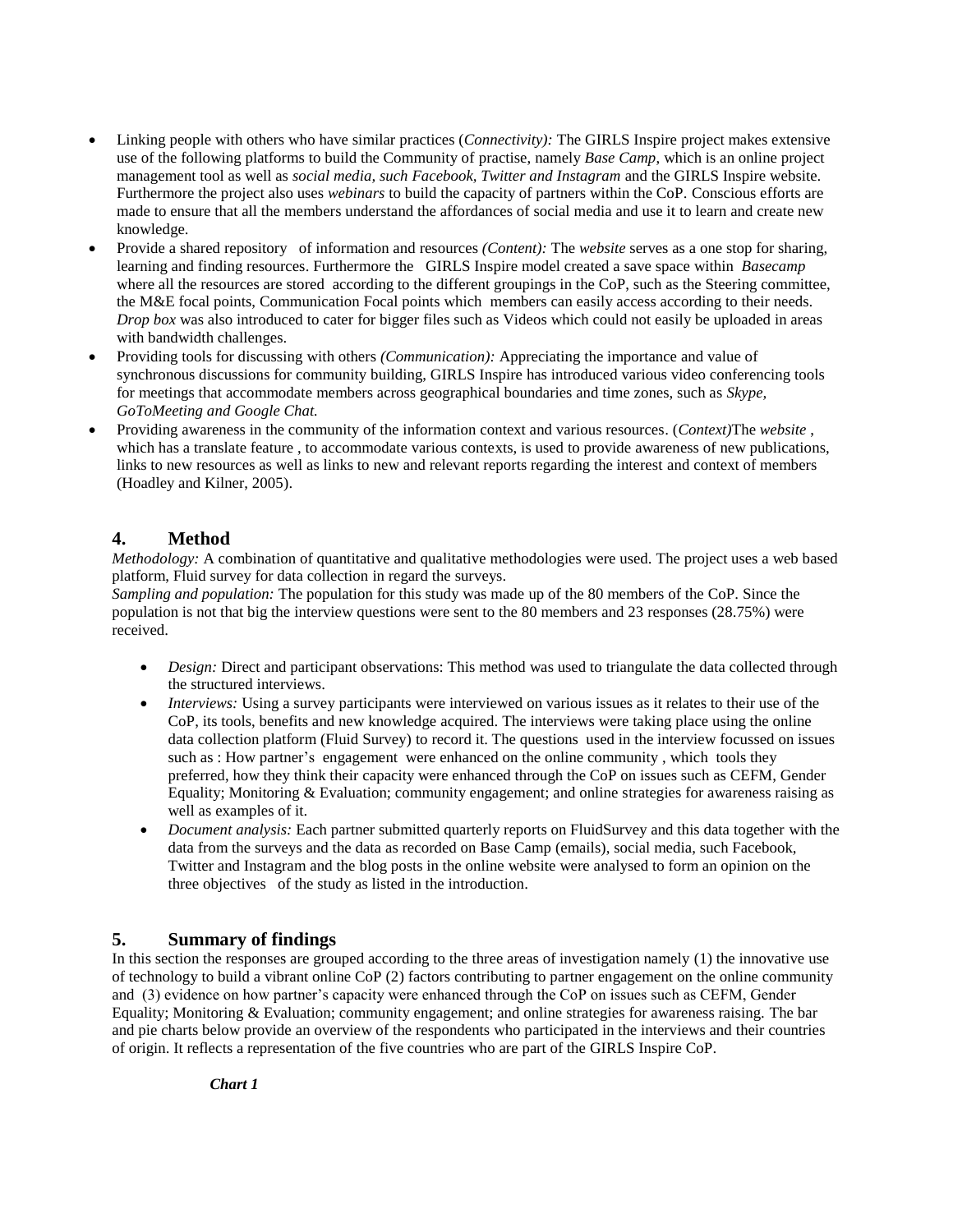- Linking people with others who have similar practices (*Connectivity):* The GIRLS Inspire project makes extensive use of the following platforms to build the Community of practise, namely *Base Camp*, which is an online project management tool as well as *social media, such Facebook, Twitter and Instagram* and the GIRLS Inspire website. Furthermore the project also uses *webinars* to build the capacity of partners within the CoP. Conscious efforts are made to ensure that all the members understand the affordances of social media and use it to learn and create new knowledge.
- Provide a shared repository of information and resources *(Content):* The *website* serves as a one stop for sharing, learning and finding resources. Furthermore the GIRLS Inspire model created a save space within *Basecamp* where all the resources are stored according to the different groupings in the CoP, such as the Steering committee, the M&E focal points, Communication Focal points which members can easily access according to their needs*. Drop box* was also introduced to cater for bigger files such as Videos which could not easily be uploaded in areas with bandwidth challenges.
- Providing tools for discussing with others *(Communication):* Appreciating the importance and value of synchronous discussions for community building, GIRLS Inspire has introduced various video conferencing tools for meetings that accommodate members across geographical boundaries and time zones, such as *Skype, GoToMeeting and Google Chat.*
- Providing awareness in the community of the information context and various resources. (*Context)*The *website* , which has a translate feature , to accommodate various contexts, is used to provide awareness of new publications, links to new resources as well as links to new and relevant reports regarding the interest and context of members (Hoadley and Kilner, 2005).

# **4. Method**

*Methodology:* A combination of quantitative and qualitative methodologies were used. The project uses a web based platform, Fluid survey for data collection in regard the surveys.

*Sampling and population:* The population for this study was made up of the 80 members of the CoP. Since the population is not that big the interview questions were sent to the 80 members and 23 responses (28.75%) were received.

- *Design:* Direct and participant observations: This method was used to triangulate the data collected through the structured interviews.
- *Interviews:* Using a survey participants were interviewed on various issues as it relates to their use of the CoP, its tools, benefits and new knowledge acquired. The interviews were taking place using the online data collection platform (Fluid Survey) to record it. The questions used in the interview focussed on issues such as : How partner's engagement were enhanced on the online community , which tools they preferred, how they think their capacity were enhanced through the CoP on issues such as CEFM, Gender Equality; Monitoring & Evaluation; community engagement; and online strategies for awareness raising as well as examples of it.
- *Document analysis:* Each partner submitted quarterly reports on FluidSurvey and this data together with the data from the surveys and the data as recorded on Base Camp (emails), social media, such Facebook, Twitter and Instagram and the blog posts in the online website were analysed to form an opinion on the three objectives of the study as listed in the introduction.

# **5. Summary of findings**

In this section the responses are grouped according to the three areas of investigation namely (1) the innovative use of technology to build a vibrant online CoP (2) factors contributing to partner engagement on the online community and (3) evidence on how partner's capacity were enhanced through the CoP on issues such as CEFM, Gender Equality; Monitoring & Evaluation; community engagement; and online strategies for awareness raising. The bar and pie charts below provide an overview of the respondents who participated in the interviews and their countries of origin. It reflects a representation of the five countries who are part of the GIRLS Inspire CoP.

*Chart 1*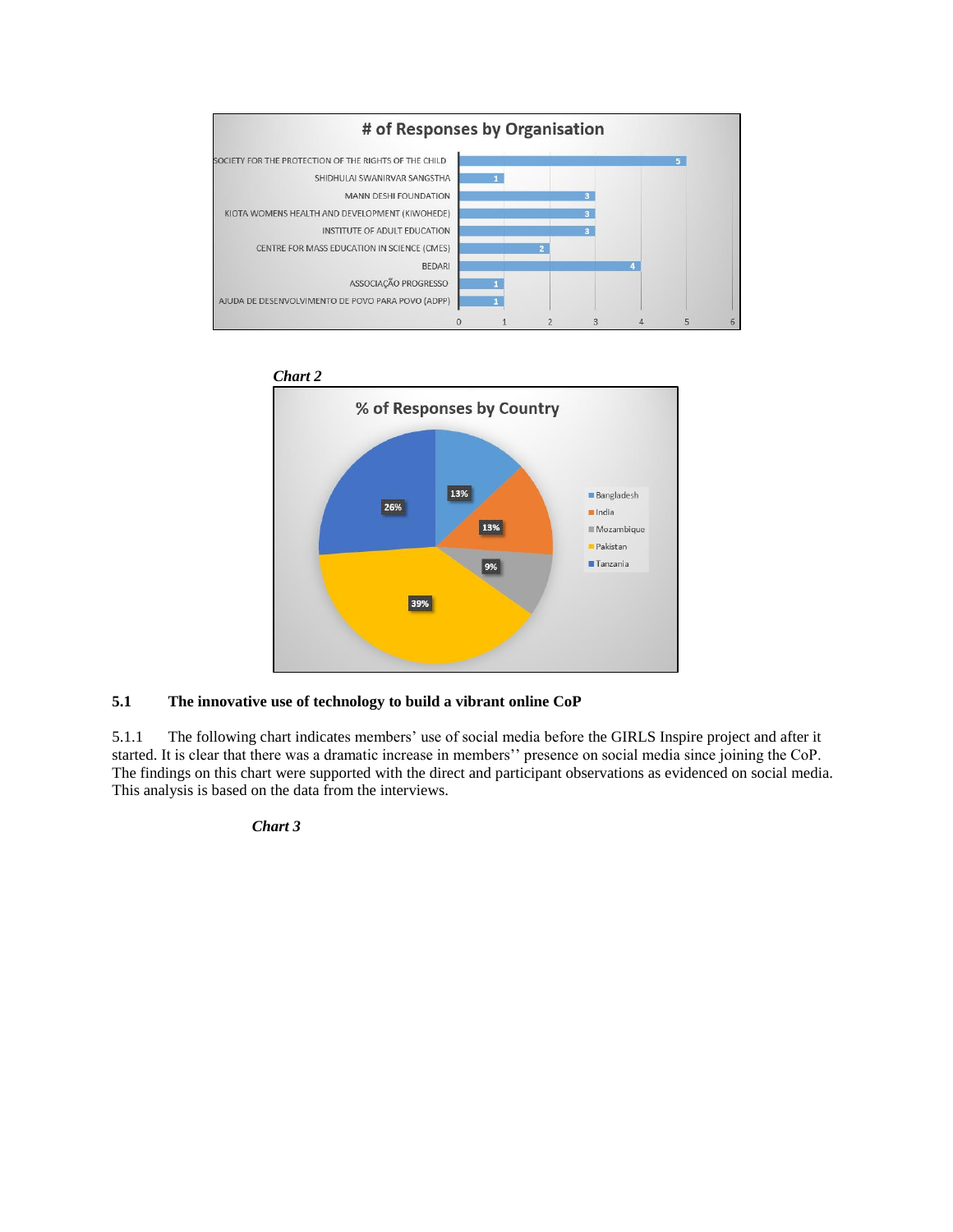



# **5.1 The innovative use of technology to build a vibrant online CoP**

5.1.1 The following chart indicates members' use of social media before the GIRLS Inspire project and after it started. It is clear that there was a dramatic increase in members'' presence on social media since joining the CoP. The findings on this chart were supported with the direct and participant observations as evidenced on social media. This analysis is based on the data from the interviews.

*Chart 3*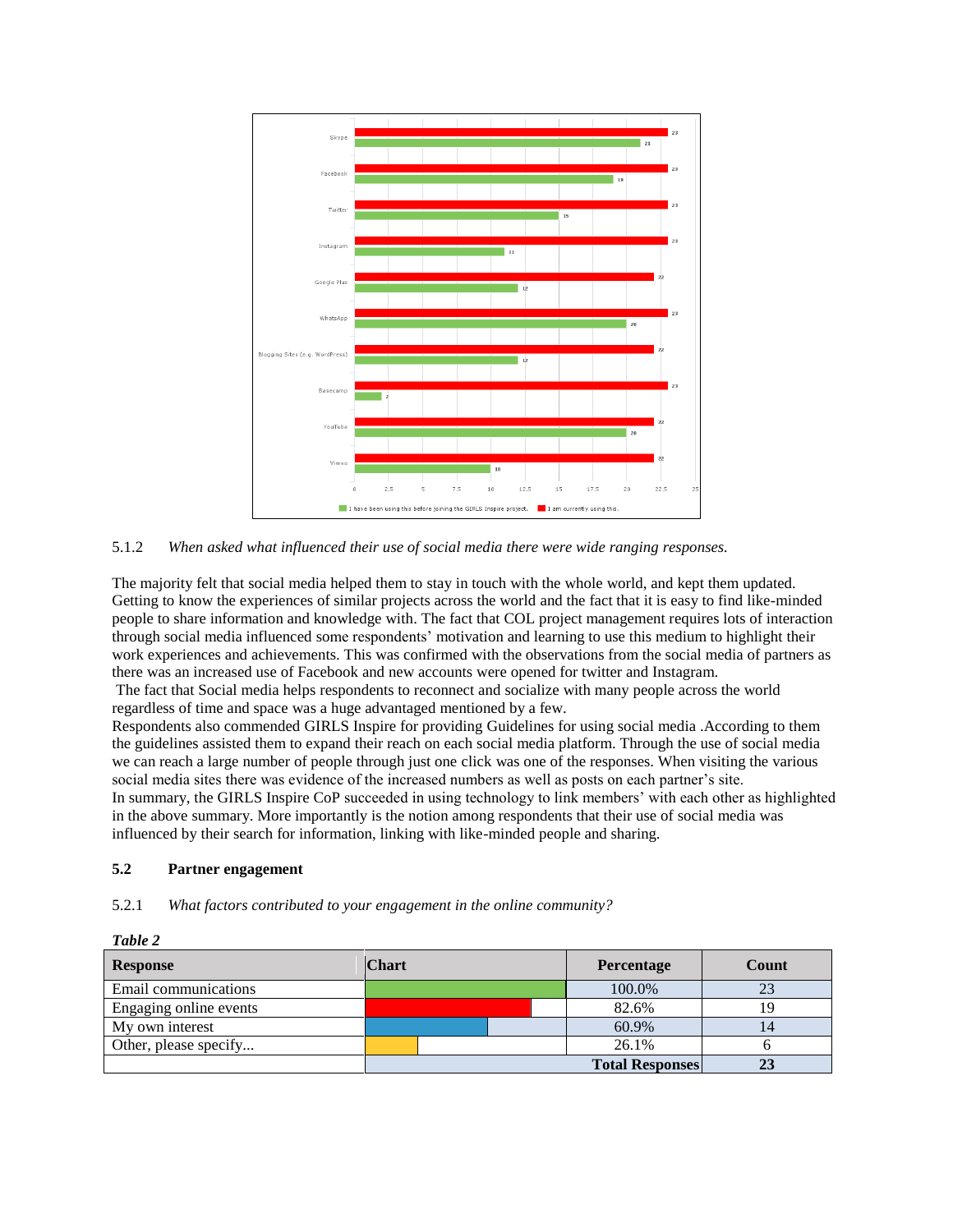

5.1.2 *When asked what influenced their use of social media there were wide ranging responses.*

The majority felt that social media helped them to stay in touch with the whole world, and kept them updated. Getting to know the experiences of similar projects across the world and the fact that it is easy to find like-minded people to share information and knowledge with. The fact that COL project management requires lots of interaction through social media influenced some respondents' motivation and learning to use this medium to highlight their work experiences and achievements. This was confirmed with the observations from the social media of partners as there was an increased use of Facebook and new accounts were opened for twitter and Instagram.

The fact that Social media helps respondents to reconnect and socialize with many people across the world regardless of time and space was a huge advantaged mentioned by a few.

Respondents also commended GIRLS Inspire for providing Guidelines for using social media .According to them the guidelines assisted them to expand their reach on each social media platform. Through the use of social media we can reach a large number of people through just one click was one of the responses. When visiting the various social media sites there was evidence of the increased numbers as well as posts on each partner's site. In summary, the GIRLS Inspire CoP succeeded in using technology to link members' with each other as highlighted in the above summary. More importantly is the notion among respondents that their use of social media was influenced by their search for information, linking with like-minded people and sharing.

### **5.2 Partner engagement**

### 5.2.1 *What factors contributed to your engagement in the online community?*

| Table 2                |              |                        |       |  |  |  |  |
|------------------------|--------------|------------------------|-------|--|--|--|--|
| <b>Response</b>        | <b>Chart</b> | Percentage             | Count |  |  |  |  |
| Email communications   |              |                        | 23    |  |  |  |  |
| Engaging online events |              | 82.6%                  | 19    |  |  |  |  |
| My own interest        |              | 60.9%                  | 14    |  |  |  |  |
| Other, please specify  |              | 26.1%                  |       |  |  |  |  |
|                        |              | <b>Total Responses</b> | 23    |  |  |  |  |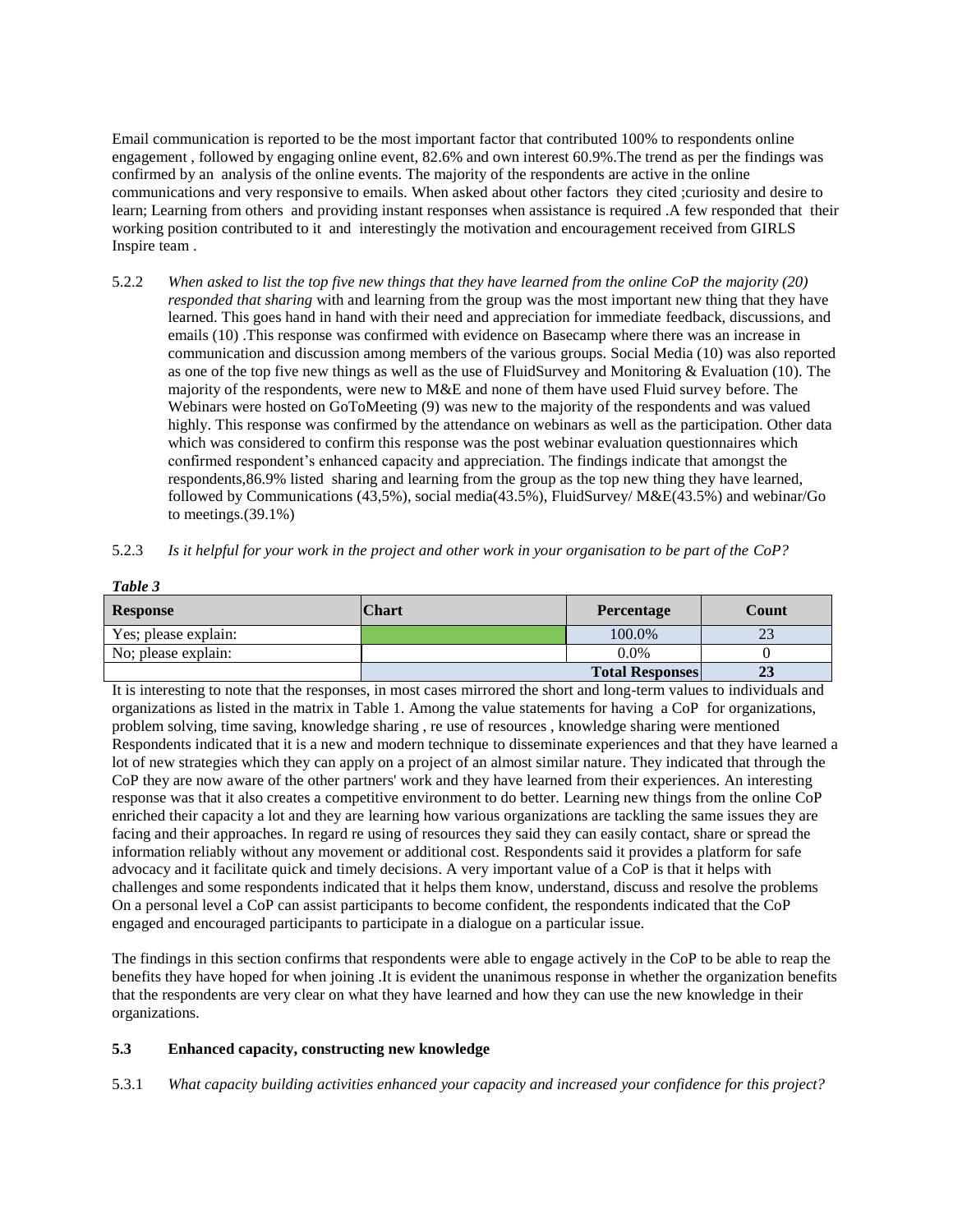Email communication is reported to be the most important factor that contributed 100% to respondents online engagement , followed by engaging online event, 82.6% and own interest 60.9%.The trend as per the findings was confirmed by an analysis of the online events. The majority of the respondents are active in the online communications and very responsive to emails. When asked about other factors they cited ;curiosity and desire to learn; Learning from others and providing instant responses when assistance is required .A few responded that their working position contributed to it and interestingly the motivation and encouragement received from GIRLS Inspire team .

- 5.2.2 *When asked to list the top five new things that they have learned from the online CoP the majority (20) responded that sharing* with and learning from the group was the most important new thing that they have learned. This goes hand in hand with their need and appreciation for immediate feedback, discussions, and emails (10) .This response was confirmed with evidence on Basecamp where there was an increase in communication and discussion among members of the various groups. Social Media (10) was also reported as one of the top five new things as well as the use of FluidSurvey and Monitoring & Evaluation (10). The majority of the respondents, were new to M&E and none of them have used Fluid survey before. The Webinars were hosted on GoToMeeting (9) was new to the majority of the respondents and was valued highly. This response was confirmed by the attendance on webinars as well as the participation. Other data which was considered to confirm this response was the post webinar evaluation questionnaires which confirmed respondent's enhanced capacity and appreciation. The findings indicate that amongst the respondents,86.9% listed sharing and learning from the group as the top new thing they have learned, followed by Communications (43,5%), social media(43.5%), FluidSurvey/ M&E(43.5%) and webinar/Go to meetings. $(39.1\%)$
- 5.2.3 *Is it helpful for your work in the project and other work in your organisation to be part of the CoP?*

| <b>Response</b>      | <b>Chart</b> | <b>Percentage</b>      | Count |
|----------------------|--------------|------------------------|-------|
| Yes; please explain: |              | 100.0%                 | د،    |
| No; please explain:  |              | $0.0\%$                |       |
|                      |              | <b>Total Responses</b> | 23    |

It is interesting to note that the responses, in most cases mirrored the short and long-term values to individuals and organizations as listed in the matrix in Table 1. Among the value statements for having a CoP for organizations, problem solving, time saving, knowledge sharing , re use of resources , knowledge sharing were mentioned Respondents indicated that it is a new and modern technique to disseminate experiences and that they have learned a lot of new strategies which they can apply on a project of an almost similar nature. They indicated that through the CoP they are now aware of the other partners' work and they have learned from their experiences. An interesting response was that it also creates a competitive environment to do better. Learning new things from the online CoP enriched their capacity a lot and they are learning how various organizations are tackling the same issues they are facing and their approaches. In regard re using of resources they said they can easily contact, share or spread the information reliably without any movement or additional cost. Respondents said it provides a platform for safe advocacy and it facilitate quick and timely decisions. A very important value of a CoP is that it helps with challenges and some respondents indicated that it helps them know, understand, discuss and resolve the problems On a personal level a CoP can assist participants to become confident, the respondents indicated that the CoP engaged and encouraged participants to participate in a dialogue on a particular issue.

The findings in this section confirms that respondents were able to engage actively in the CoP to be able to reap the benefits they have hoped for when joining .It is evident the unanimous response in whether the organization benefits that the respondents are very clear on what they have learned and how they can use the new knowledge in their organizations.

### **5.3 Enhanced capacity, constructing new knowledge**

*Table 3*

5.3.1 *What capacity building activities enhanced your capacity and increased your confidence for this project?*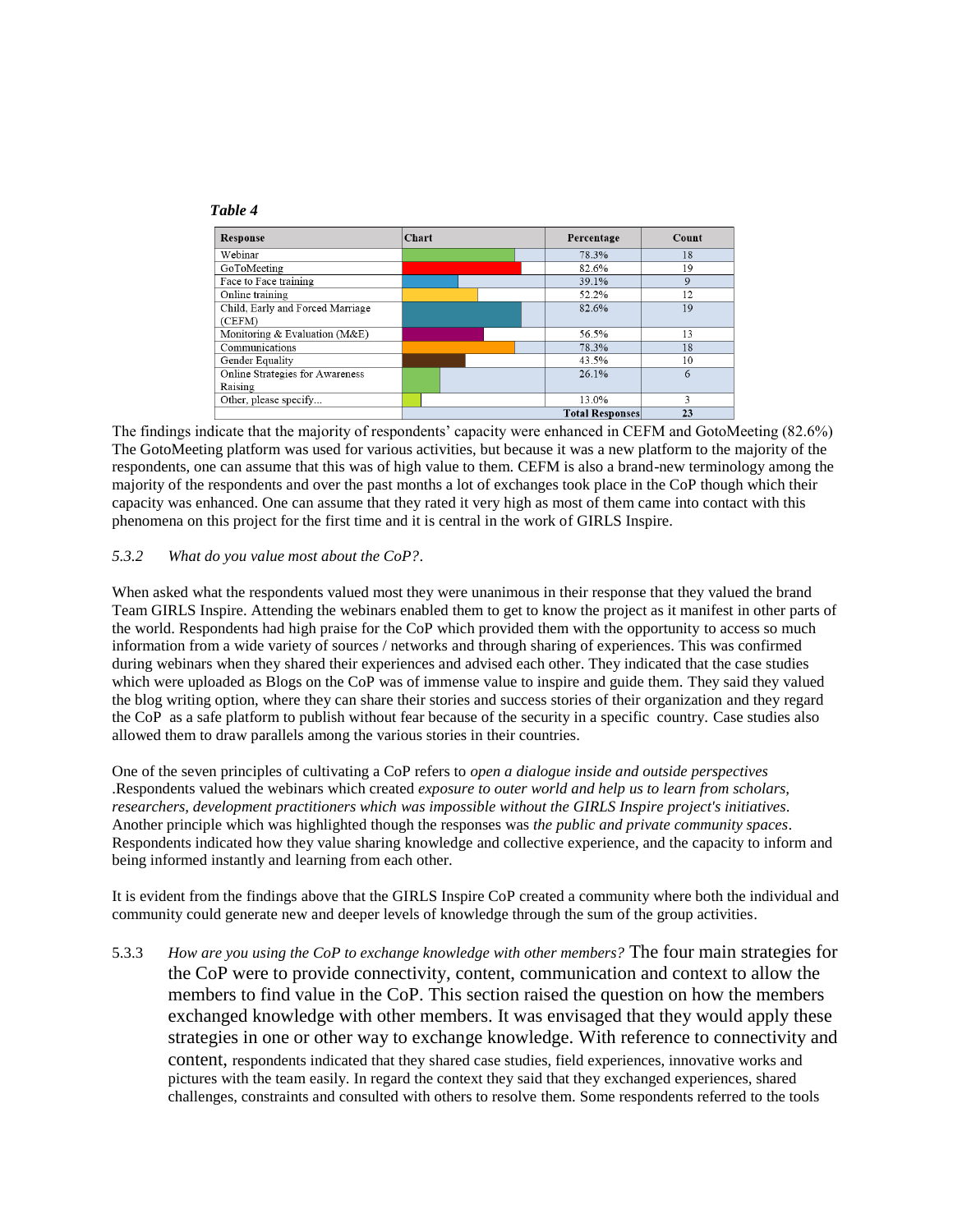

The findings indicate that the majority of respondents' capacity were enhanced in CEFM and GotoMeeting (82.6%) The GotoMeeting platform was used for various activities, but because it was a new platform to the majority of the respondents, one can assume that this was of high value to them. CEFM is also a brand-new terminology among the majority of the respondents and over the past months a lot of exchanges took place in the CoP though which their capacity was enhanced. One can assume that they rated it very high as most of them came into contact with this phenomena on this project for the first time and it is central in the work of GIRLS Inspire.

## *5.3.2 What do you value most about the CoP?*.

When asked what the respondents valued most they were unanimous in their response that they valued the brand Team GIRLS Inspire. Attending the webinars enabled them to get to know the project as it manifest in other parts of the world. Respondents had high praise for the CoP which provided them with the opportunity to access so much information from a wide variety of sources / networks and through sharing of experiences. This was confirmed during webinars when they shared their experiences and advised each other. They indicated that the case studies which were uploaded as Blogs on the CoP was of immense value to inspire and guide them. They said they valued the blog writing option, where they can share their stories and success stories of their organization and they regard the CoP as a safe platform to publish without fear because of the security in a specific country. Case studies also allowed them to draw parallels among the various stories in their countries.

One of the seven principles of cultivating a CoP refers to *open a dialogue inside and outside perspectives* .Respondents valued the webinars which created *exposure to outer world and help us to learn from scholars, researchers, development practitioners which was impossible without the GIRLS Inspire project's initiatives*. Another principle which was highlighted though the responses was *the public and private community spaces*. Respondents indicated how they value sharing knowledge and collective experience, and the capacity to inform and being informed instantly and learning from each other.

It is evident from the findings above that the GIRLS Inspire CoP created a community where both the individual and community could generate new and deeper levels of knowledge through the sum of the group activities.

5.3.3 *How are you using the CoP to exchange knowledge with other members?* The four main strategies for the CoP were to provide connectivity, content, communication and context to allow the members to find value in the CoP. This section raised the question on how the members exchanged knowledge with other members. It was envisaged that they would apply these strategies in one or other way to exchange knowledge. With reference to connectivity and content, respondents indicated that they shared case studies, field experiences, innovative works and pictures with the team easily. In regard the context they said that they exchanged experiences, shared challenges, constraints and consulted with others to resolve them. Some respondents referred to the tools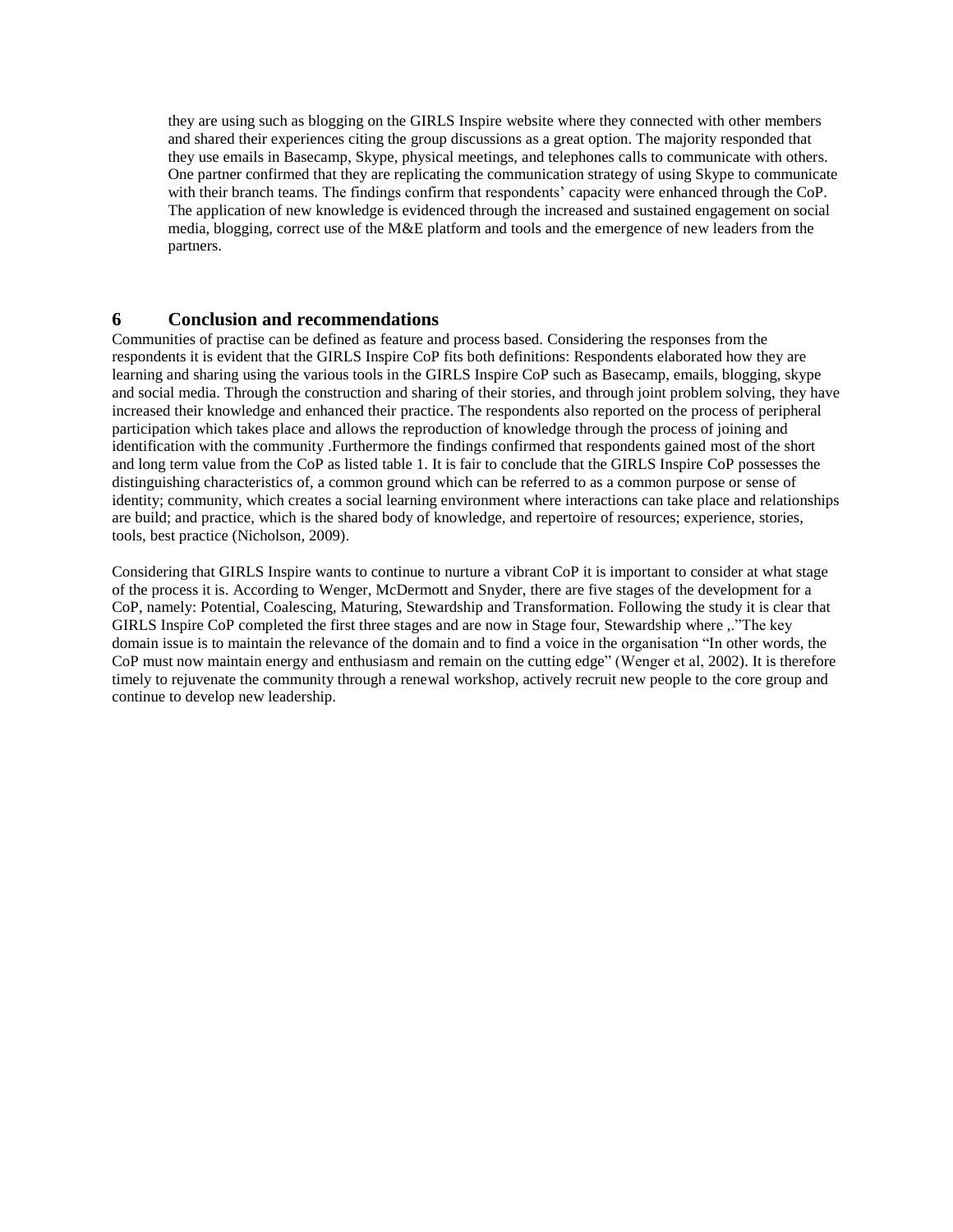they are using such as blogging on the GIRLS Inspire website where they connected with other members and shared their experiences citing the group discussions as a great option. The majority responded that they use emails in Basecamp, Skype, physical meetings, and telephones calls to communicate with others. One partner confirmed that they are replicating the communication strategy of using Skype to communicate with their branch teams. The findings confirm that respondents' capacity were enhanced through the CoP. The application of new knowledge is evidenced through the increased and sustained engagement on social media, blogging, correct use of the M&E platform and tools and the emergence of new leaders from the partners.

# **6 Conclusion and recommendations**

Communities of practise can be defined as feature and process based. Considering the responses from the respondents it is evident that the GIRLS Inspire CoP fits both definitions: Respondents elaborated how they are learning and sharing using the various tools in the GIRLS Inspire CoP such as Basecamp, emails, blogging, skype and social media. Through the construction and sharing of their stories, and through joint problem solving, they have increased their knowledge and enhanced their practice. The respondents also reported on the process of peripheral participation which takes place and allows the reproduction of knowledge through the process of joining and identification with the community .Furthermore the findings confirmed that respondents gained most of the short and long term value from the CoP as listed table 1. It is fair to conclude that the GIRLS Inspire CoP possesses the distinguishing characteristics of, a common ground which can be referred to as a common purpose or sense of identity; community, which creates a social learning environment where interactions can take place and relationships are build; and practice, which is the shared body of knowledge, and repertoire of resources; experience, stories, tools, best practice (Nicholson, 2009).

Considering that GIRLS Inspire wants to continue to nurture a vibrant CoP it is important to consider at what stage of the process it is. According to Wenger, McDermott and Snyder, there are five stages of the development for a CoP, namely: Potential, Coalescing, Maturing, Stewardship and Transformation. Following the study it is clear that GIRLS Inspire CoP completed the first three stages and are now in Stage four, Stewardship where ,."The key domain issue is to maintain the relevance of the domain and to find a voice in the organisation "In other words, the CoP must now maintain energy and enthusiasm and remain on the cutting edge" (Wenger et al, 2002). It is therefore timely to rejuvenate the community through a renewal workshop, actively recruit new people to the core group and continue to develop new leadership.